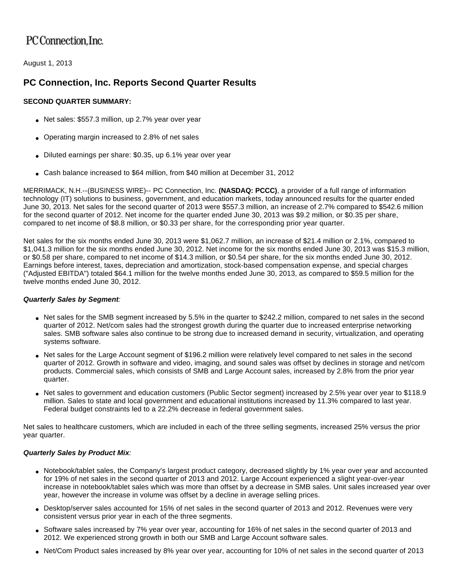# PC Connection. Inc.

August 1, 2013

# **PC Connection, Inc. Reports Second Quarter Results**

# **SECOND QUARTER SUMMARY:**

- Net sales: \$557.3 million, up 2.7% year over year
- Operating margin increased to 2.8% of net sales
- Diluted earnings per share: \$0.35, up 6.1% year over year
- Cash balance increased to \$64 million, from \$40 million at December 31, 2012

MERRIMACK, N.H.--(BUSINESS WIRE)-- PC Connection, Inc. **(NASDAQ: PCCC)**, a provider of a full range of information technology (IT) solutions to business, government, and education markets, today announced results for the quarter ended June 30, 2013. Net sales for the second quarter of 2013 were \$557.3 million, an increase of 2.7% compared to \$542.6 million for the second quarter of 2012. Net income for the quarter ended June 30, 2013 was \$9.2 million, or \$0.35 per share, compared to net income of \$8.8 million, or \$0.33 per share, for the corresponding prior year quarter.

Net sales for the six months ended June 30, 2013 were \$1,062.7 million, an increase of \$21.4 million or 2.1%, compared to \$1,041.3 million for the six months ended June 30, 2012. Net income for the six months ended June 30, 2013 was \$15.3 million, or \$0.58 per share, compared to net income of \$14.3 million, or \$0.54 per share, for the six months ended June 30, 2012. Earnings before interest, taxes, depreciation and amortization, stock-based compensation expense, and special charges ("Adjusted EBITDA") totaled \$64.1 million for the twelve months ended June 30, 2013, as compared to \$59.5 million for the twelve months ended June 30, 2012.

## **Quarterly Sales by Segment**:

- Net sales for the SMB segment increased by 5.5% in the quarter to \$242.2 million, compared to net sales in the second quarter of 2012. Net/com sales had the strongest growth during the quarter due to increased enterprise networking sales. SMB software sales also continue to be strong due to increased demand in security, virtualization, and operating systems software.
- Net sales for the Large Account segment of \$196.2 million were relatively level compared to net sales in the second quarter of 2012. Growth in software and video, imaging, and sound sales was offset by declines in storage and net/com products. Commercial sales, which consists of SMB and Large Account sales, increased by 2.8% from the prior year quarter.
- Net sales to government and education customers (Public Sector segment) increased by 2.5% year over year to \$118.9 million. Sales to state and local government and educational institutions increased by 11.3% compared to last year. Federal budget constraints led to a 22.2% decrease in federal government sales.

Net sales to healthcare customers, which are included in each of the three selling segments, increased 25% versus the prior year quarter.

## **Quarterly Sales by Product Mix**:

- Notebook/tablet sales, the Company's largest product category, decreased slightly by 1% year over year and accounted for 19% of net sales in the second quarter of 2013 and 2012. Large Account experienced a slight year-over-year increase in notebook/tablet sales which was more than offset by a decrease in SMB sales. Unit sales increased year over year, however the increase in volume was offset by a decline in average selling prices.
- Desktop/server sales accounted for 15% of net sales in the second quarter of 2013 and 2012. Revenues were very consistent versus prior year in each of the three segments.
- Software sales increased by 7% year over year, accounting for 16% of net sales in the second quarter of 2013 and 2012. We experienced strong growth in both our SMB and Large Account software sales.
- Net/Com Product sales increased by 8% year over year, accounting for 10% of net sales in the second quarter of 2013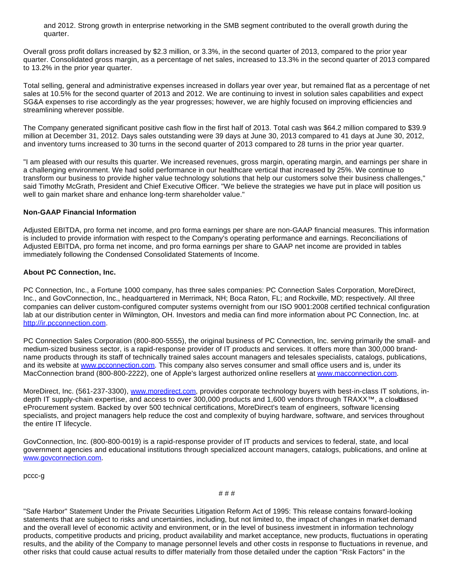and 2012. Strong growth in enterprise networking in the SMB segment contributed to the overall growth during the quarter.

Overall gross profit dollars increased by \$2.3 million, or 3.3%, in the second quarter of 2013, compared to the prior year quarter. Consolidated gross margin, as a percentage of net sales, increased to 13.3% in the second quarter of 2013 compared to 13.2% in the prior year quarter.

Total selling, general and administrative expenses increased in dollars year over year, but remained flat as a percentage of net sales at 10.5% for the second quarter of 2013 and 2012. We are continuing to invest in solution sales capabilities and expect SG&A expenses to rise accordingly as the year progresses; however, we are highly focused on improving efficiencies and streamlining wherever possible.

The Company generated significant positive cash flow in the first half of 2013. Total cash was \$64.2 million compared to \$39.9 million at December 31, 2012. Days sales outstanding were 39 days at June 30, 2013 compared to 41 days at June 30, 2012, and inventory turns increased to 30 turns in the second quarter of 2013 compared to 28 turns in the prior year quarter.

"I am pleased with our results this quarter. We increased revenues, gross margin, operating margin, and earnings per share in a challenging environment. We had solid performance in our healthcare vertical that increased by 25%. We continue to transform our business to provide higher value technology solutions that help our customers solve their business challenges," said Timothy McGrath, President and Chief Executive Officer. "We believe the strategies we have put in place will position us well to gain market share and enhance long-term shareholder value."

#### **Non-GAAP Financial Information**

Adjusted EBITDA, pro forma net income, and pro forma earnings per share are non-GAAP financial measures. This information is included to provide information with respect to the Company's operating performance and earnings. Reconciliations of Adjusted EBITDA, pro forma net income, and pro forma earnings per share to GAAP net income are provided in tables immediately following the Condensed Consolidated Statements of Income.

#### **About PC Connection, Inc.**

PC Connection, Inc., a Fortune 1000 company, has three sales companies: PC Connection Sales Corporation, MoreDirect, Inc., and GovConnection, Inc., headquartered in Merrimack, NH; Boca Raton, FL; and Rockville, MD; respectively. All three companies can deliver custom-configured computer systems overnight from our ISO 9001:2008 certified technical configuration lab at our distribution center in Wilmington, OH. Investors and media can find more information about PC Connection, Inc. at [http://ir.pcconnection.com](http://cts.businesswire.com/ct/CT?id=smartlink&url=http%3A%2F%2Fir.pcconnection.com&esheet=50682475&newsitemid=20130801006572&lan=en-US&anchor=http%3A%2F%2Fir.pcconnection.com&index=1&md5=78d9409e68f4b2af5228830e6bbc206b).

PC Connection Sales Corporation (800-800-5555), the original business of PC Connection, Inc. serving primarily the small- and medium-sized business sector, is a rapid-response provider of IT products and services. It offers more than 300,000 brandname products through its staff of technically trained sales account managers and telesales specialists, catalogs, publications, and its website at [www.pcconnection.com.](http://cts.businesswire.com/ct/CT?id=smartlink&url=http%3A%2F%2Fwww.pcconnection.com&esheet=50682475&newsitemid=20130801006572&lan=en-US&anchor=www.pcconnection.com&index=2&md5=364702f40b1822560200d92810e4653e) This company also serves consumer and small office users and is, under its MacConnection brand (800-800-2222), one of Apple's largest authorized online resellers at [www.macconnection.com](http://cts.businesswire.com/ct/CT?id=smartlink&url=http%3A%2F%2Fwww.macconnection.com&esheet=50682475&newsitemid=20130801006572&lan=en-US&anchor=www.macconnection.com&index=3&md5=488650f2233d006ee90a3c6a763541a6).

MoreDirect, Inc. (561-237-3300), [www.moredirect.com](http://cts.businesswire.com/ct/CT?id=smartlink&url=http%3A%2F%2Fwww.moredirect.com&esheet=50682475&newsitemid=20130801006572&lan=en-US&anchor=www.moredirect.com&index=4&md5=55bc2252bc81ec4b25b1ffd17883fd4b), provides corporate technology buyers with best-in-class IT solutions, indepth IT supply-chain expertise, and access to over 300,000 products and 1,600 vendors through TRAXX™, a cloudased eProcurement system. Backed by over 500 technical certifications, MoreDirect's team of engineers, software licensing specialists, and project managers help reduce the cost and complexity of buying hardware, software, and services throughout the entire IT lifecycle.

GovConnection, Inc. (800-800-0019) is a rapid-response provider of IT products and services to federal, state, and local government agencies and educational institutions through specialized account managers, catalogs, publications, and online at [www.govconnection.com](http://cts.businesswire.com/ct/CT?id=smartlink&url=http%3A%2F%2Fwww.govconnection.com&esheet=50682475&newsitemid=20130801006572&lan=en-US&anchor=www.govconnection.com&index=5&md5=385020441f931f174775d8cc95e77bcc).

pccc-g

# # #

"Safe Harbor" Statement Under the Private Securities Litigation Reform Act of 1995: This release contains forward-looking statements that are subject to risks and uncertainties, including, but not limited to, the impact of changes in market demand and the overall level of economic activity and environment, or in the level of business investment in information technology products, competitive products and pricing, product availability and market acceptance, new products, fluctuations in operating results, and the ability of the Company to manage personnel levels and other costs in response to fluctuations in revenue, and other risks that could cause actual results to differ materially from those detailed under the caption "Risk Factors" in the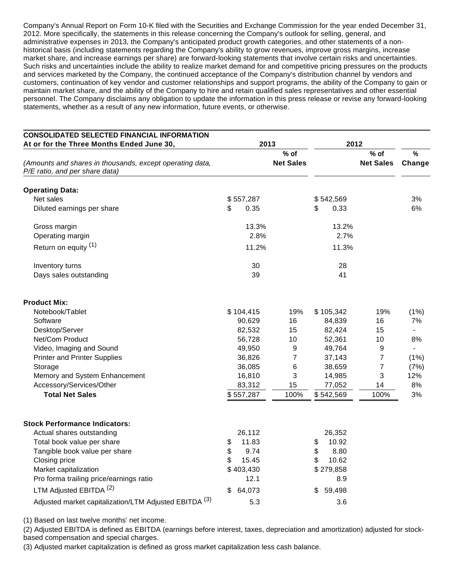Company's Annual Report on Form 10-K filed with the Securities and Exchange Commission for the year ended December 31, 2012. More specifically, the statements in this release concerning the Company's outlook for selling, general, and administrative expenses in 2013, the Company's anticipated product growth categories, and other statements of a nonhistorical basis (including statements regarding the Company's ability to grow revenues, improve gross margins, increase market share, and increase earnings per share) are forward-looking statements that involve certain risks and uncertainties. Such risks and uncertainties include the ability to realize market demand for and competitive pricing pressures on the products and services marketed by the Company, the continued acceptance of the Company's distribution channel by vendors and customers, continuation of key vendor and customer relationships and support programs, the ability of the Company to gain or maintain market share, and the ability of the Company to hire and retain qualified sales representatives and other essential personnel. The Company disclaims any obligation to update the information in this press release or revise any forward-looking statements, whether as a result of any new information, future events, or otherwise.

| <b>CONSOLIDATED SELECTED FINANCIAL INFORMATION</b>                                         |              |                            |              |                            |                |
|--------------------------------------------------------------------------------------------|--------------|----------------------------|--------------|----------------------------|----------------|
| At or for the Three Months Ended June 30,                                                  | 2013         |                            | 2012         |                            |                |
| (Amounts and shares in thousands, except operating data,<br>P/E ratio, and per share data) |              | $%$ of<br><b>Net Sales</b> |              | $%$ of<br><b>Net Sales</b> | $\%$<br>Change |
| <b>Operating Data:</b>                                                                     |              |                            |              |                            |                |
| Net sales                                                                                  | \$557,287    |                            | \$542,569    |                            | 3%             |
| Diluted earnings per share                                                                 | \$<br>0.35   |                            | \$<br>0.33   |                            | 6%             |
| Gross margin                                                                               | 13.3%        |                            | 13.2%        |                            |                |
| Operating margin                                                                           | 2.8%         |                            | 2.7%         |                            |                |
| Return on equity (1)                                                                       | 11.2%        |                            | 11.3%        |                            |                |
| Inventory turns                                                                            | 30           |                            | 28           |                            |                |
| Days sales outstanding                                                                     | 39           |                            | 41           |                            |                |
| <b>Product Mix:</b>                                                                        |              |                            |              |                            |                |
| Notebook/Tablet                                                                            | \$104,415    | 19%                        | \$105,342    | 19%                        | (1%)           |
| Software                                                                                   | 90,629       | 16                         | 84,839       | 16                         | 7%             |
| Desktop/Server                                                                             | 82,532       | 15                         | 82,424       | 15                         |                |
| Net/Com Product                                                                            | 56,728       | 10                         | 52,361       | 10                         | 8%             |
| Video, Imaging and Sound                                                                   | 49,950       | 9                          | 49,764       | 9                          |                |
| <b>Printer and Printer Supplies</b>                                                        | 36,826       | 7                          | 37,143       | 7                          | $(1\%)$        |
| Storage                                                                                    | 36,085       | 6                          | 38,659       | $\boldsymbol{7}$           | (7%)           |
| Memory and System Enhancement                                                              | 16,810       | 3                          | 14,985       | 3                          | 12%            |
| Accessory/Services/Other                                                                   | 83,312       | 15                         | 77,052       | 14                         | 8%             |
| <b>Total Net Sales</b>                                                                     | \$557,287    | 100%                       | \$542,569    | 100%                       | 3%             |
| <b>Stock Performance Indicators:</b>                                                       |              |                            |              |                            |                |
| Actual shares outstanding                                                                  | 26,112       |                            | 26,352       |                            |                |
| Total book value per share                                                                 | \$<br>11.83  |                            | 10.92<br>\$  |                            |                |
| Tangible book value per share                                                              | \$<br>9.74   |                            | \$<br>8.80   |                            |                |
| Closing price                                                                              | \$<br>15.45  |                            | \$<br>10.62  |                            |                |
| Market capitalization                                                                      | \$403,430    |                            | \$279,858    |                            |                |
| Pro forma trailing price/earnings ratio                                                    | 12.1         |                            | 8.9          |                            |                |
| LTM Adjusted EBITDA <sup>(2)</sup>                                                         | 64,073<br>\$ |                            | \$<br>59,498 |                            |                |
| Adjusted market capitalization/LTM Adjusted EBITDA <sup>(3)</sup>                          | 5.3          |                            | 3.6          |                            |                |

(1) Based on last twelve months' net income.

(2) Adjusted EBITDA is defined as EBITDA (earnings before interest, taxes, depreciation and amortization) adjusted for stockbased compensation and special charges.

(3) Adjusted market capitalization is defined as gross market capitalization less cash balance.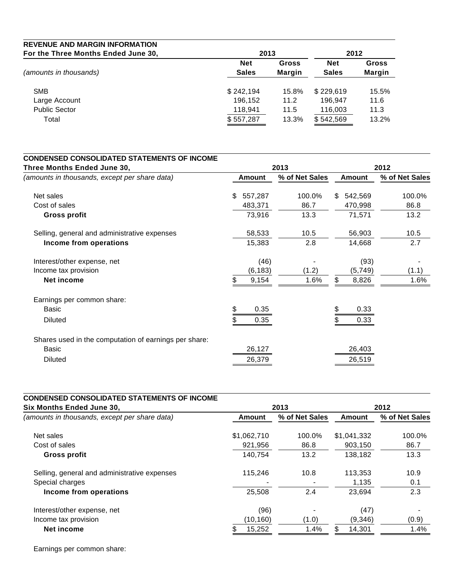| <b>REVENUE AND MARGIN INFORMATION</b> |              |        |              |               |
|---------------------------------------|--------------|--------|--------------|---------------|
| For the Three Months Ended June 30,   |              | 2013   |              |               |
|                                       | <b>Net</b>   | Gross  | <b>Net</b>   | <b>Gross</b>  |
| (amounts in thousands)                | <b>Sales</b> | Margin | <b>Sales</b> | <b>Margin</b> |
| <b>SMB</b>                            | \$242,194    | 15.8%  | \$229,619    | 15.5%         |
| Large Account                         | 196.152      | 11.2   | 196.947      | 11.6          |
| <b>Public Sector</b>                  | 118,941      | 11.5   | 116,003      | 11.3          |
| Total                                 | \$557,287    | 13.3%  | \$542,569    | 13.2%         |

| <b>CONDENSED CONSOLIDATED STATEMENTS OF INCOME</b>    |               |                |                |                |  |  |  |
|-------------------------------------------------------|---------------|----------------|----------------|----------------|--|--|--|
| Three Months Ended June 30,                           |               | 2013           | 2012           |                |  |  |  |
| (amounts in thousands, except per share data)         | Amount        | % of Net Sales | <b>Amount</b>  | % of Net Sales |  |  |  |
| Net sales                                             | 557,287<br>\$ | 100.0%         | 542,569<br>\$. | 100.0%         |  |  |  |
| Cost of sales                                         | 483,371       | 86.7           | 470,998        | 86.8           |  |  |  |
| <b>Gross profit</b>                                   | 73,916        | 13.3           | 71,571         | 13.2           |  |  |  |
| Selling, general and administrative expenses          | 58,533        | 10.5           | 56,903         | 10.5           |  |  |  |
| Income from operations                                | 15,383        | 2.8            | 14,668         | 2.7            |  |  |  |
| Interest/other expense, net                           | (46)          |                | (93)           |                |  |  |  |
| Income tax provision                                  | (6, 183)      | (1.2)          | (5,749)        | (1.1)          |  |  |  |
| <b>Net income</b>                                     | \$.<br>9,154  | 1.6%           | \$<br>8,826    | 1.6%           |  |  |  |
| Earnings per common share:                            |               |                |                |                |  |  |  |
| <b>Basic</b>                                          | 0.35          |                | 0.33           |                |  |  |  |
| <b>Diluted</b>                                        | 0.35          |                | 0.33           |                |  |  |  |
| Shares used in the computation of earnings per share: |               |                |                |                |  |  |  |
| Basic                                                 | 26,127        |                | 26,403         |                |  |  |  |
| <b>Diluted</b>                                        | 26,379        |                | 26,519         |                |  |  |  |

| <b>CONDENSED CONSOLIDATED STATEMENTS OF INCOME</b><br>Six Months Ended June 30, |             | 2013           |               | 2012           |
|---------------------------------------------------------------------------------|-------------|----------------|---------------|----------------|
| (amounts in thousands, except per share data)                                   | Amount      | % of Net Sales | <b>Amount</b> | % of Net Sales |
| Net sales                                                                       | \$1,062,710 | 100.0%         | \$1,041,332   | 100.0%         |
| Cost of sales                                                                   | 921,956     | 86.8           | 903,150       | 86.7           |
| Gross profit                                                                    | 140,754     | 13.2           | 138.182       | 13.3           |
| Selling, general and administrative expenses                                    | 115,246     | 10.8           | 113.353       | 10.9           |
| Special charges                                                                 |             |                | 1,135         | 0.1            |
| Income from operations                                                          | 25,508      | 2.4            | 23,694        | 2.3            |
| Interest/other expense, net                                                     | (96)        |                | (47)          |                |
| Income tax provision                                                            | (10,160)    | (1.0)          | (9,346)       | (0.9)          |
| Net income                                                                      | 15,252      | 1.4%           | \$.<br>14,301 | 1.4%           |

Earnings per common share: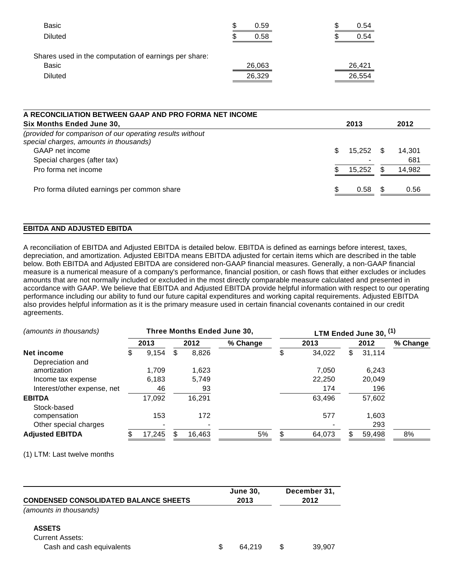| ۰D | 0.59 |                  | \$<br>0.54 |
|----|------|------------------|------------|
|    | 0.58 |                  | \$<br>0.54 |
|    |      |                  |            |
|    |      |                  | 26.421     |
|    |      |                  | 26,554     |
|    |      | 26,063<br>26,329 |            |

| 2013         |     | 2012   |
|--------------|-----|--------|
|              |     |        |
| \$<br>15,252 |     | 14.301 |
|              |     | 681    |
| 15,252       |     | 14,982 |
| 0.58         | \$. | 0.56   |
|              |     |        |

#### **EBITDA AND ADJUSTED EBITDA**

A reconciliation of EBITDA and Adjusted EBITDA is detailed below. EBITDA is defined as earnings before interest, taxes, depreciation, and amortization. Adjusted EBITDA means EBITDA adjusted for certain items which are described in the table below. Both EBITDA and Adjusted EBITDA are considered non-GAAP financial measures. Generally, a non-GAAP financial measure is a numerical measure of a company's performance, financial position, or cash flows that either excludes or includes amounts that are not normally included or excluded in the most directly comparable measure calculated and presented in accordance with GAAP. We believe that EBITDA and Adjusted EBITDA provide helpful information with respect to our operating performance including our ability to fund our future capital expenditures and working capital requirements. Adjusted EBITDA also provides helpful information as it is the primary measure used in certain financial covenants contained in our credit agreements.

| (amounts in thousands)      |   |        |   |        | <b>Three Months Ended June 30,</b> | LTM Ended June 30, <sup>(1)</sup> |        |    |        |          |
|-----------------------------|---|--------|---|--------|------------------------------------|-----------------------------------|--------|----|--------|----------|
|                             |   | 2013   |   | 2012   | % Change                           |                                   | 2013   |    | 2012   | % Change |
| Net income                  | S | 9,154  | S | 8,826  |                                    |                                   | 34,022 | \$ | 31,114 |          |
| Depreciation and            |   |        |   |        |                                    |                                   |        |    |        |          |
| amortization                |   | 1.709  |   | 1,623  |                                    |                                   | 7.050  |    | 6,243  |          |
| Income tax expense          |   | 6,183  |   | 5,749  |                                    |                                   | 22,250 |    | 20,049 |          |
| Interest/other expense, net |   | 46     |   | 93     |                                    |                                   | 174    |    | 196    |          |
| <b>EBITDA</b>               |   | 17,092 |   | 16.291 |                                    |                                   | 63.496 |    | 57,602 |          |
| Stock-based                 |   |        |   |        |                                    |                                   |        |    |        |          |
| compensation                |   | 153    |   | 172    |                                    |                                   | 577    |    | 1,603  |          |
| Other special charges       |   |        |   |        |                                    |                                   |        |    | 293    |          |
| <b>Adjusted EBITDA</b>      |   | 17,245 |   | 16,463 | 5%                                 |                                   | 64,073 |    | 59,498 | 8%       |

(1) LTM: Last twelve months

|                                              |     | <b>June 30.</b> | December 31, |
|----------------------------------------------|-----|-----------------|--------------|
| <b>CONDENSED CONSOLIDATED BALANCE SHEETS</b> |     | 2013            | 2012         |
| (amounts in thousands)                       |     |                 |              |
| <b>ASSETS</b>                                |     |                 |              |
| <b>Current Assets:</b>                       |     |                 |              |
| Cash and cash equivalents                    | \$. | 64.219          | 39.907       |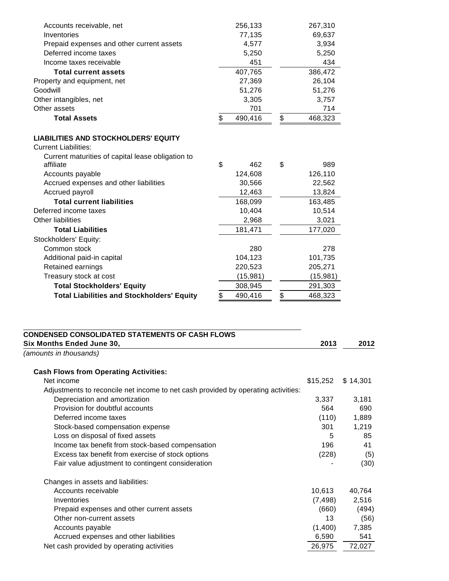| Accounts receivable, net                                       | 256,133       | 267,310       |
|----------------------------------------------------------------|---------------|---------------|
| Inventories                                                    | 77,135        | 69,637        |
| Prepaid expenses and other current assets                      | 4,577         | 3,934         |
| Deferred income taxes                                          | 5,250         | 5,250         |
| Income taxes receivable                                        | 451           | 434           |
| <b>Total current assets</b>                                    | 407,765       | 386,472       |
| Property and equipment, net                                    | 27,369        | 26,104        |
| Goodwill                                                       | 51,276        | 51,276        |
| Other intangibles, net                                         | 3,305         | 3,757         |
| Other assets                                                   | 701           | 714           |
| <b>Total Assets</b>                                            | \$<br>490,416 | \$<br>468,323 |
| <b>LIABILITIES AND STOCKHOLDERS' EQUITY</b>                    |               |               |
| <b>Current Liabilities:</b>                                    |               |               |
| Current maturities of capital lease obligation to<br>affiliate | \$<br>462     | \$<br>989     |
| Accounts payable                                               | 124,608       | 126,110       |
| Accrued expenses and other liabilities                         | 30,566        | 22,562        |
| Accrued payroll                                                | 12,463        | 13,824        |
| <b>Total current liabilities</b>                               | 168,099       | 163,485       |
| Deferred income taxes                                          | 10,404        | 10,514        |
| <b>Other liabilities</b>                                       | 2,968         | 3,021         |
| <b>Total Liabilities</b>                                       | 181,471       | 177,020       |
| Stockholders' Equity:                                          |               |               |
| Common stock                                                   | 280           | 278           |
| Additional paid-in capital                                     | 104,123       | 101,735       |
| Retained earnings                                              | 220,523       | 205,271       |
| Treasury stock at cost                                         | (15,981)      | (15, 981)     |
| <b>Total Stockholders' Equity</b>                              | 308,945       | 291,303       |
| <b>Total Liabilities and Stockholders' Equity</b>              | \$<br>490,416 | \$<br>468,323 |

| <b>CONDENSED CONSOLIDATED STATEMENTS OF CASH FLOWS</b>                            |          |          |
|-----------------------------------------------------------------------------------|----------|----------|
| Six Months Ended June 30,                                                         | 2013     | 2012     |
| (amounts in thousands)                                                            |          |          |
| <b>Cash Flows from Operating Activities:</b>                                      |          |          |
| Net income                                                                        | \$15,252 | \$14,301 |
| Adjustments to reconcile net income to net cash provided by operating activities: |          |          |
| Depreciation and amortization                                                     | 3,337    | 3,181    |
| Provision for doubtful accounts                                                   | 564      | 690      |
| Deferred income taxes                                                             | (110)    | 1,889    |
| Stock-based compensation expense                                                  | 301      | 1,219    |
| Loss on disposal of fixed assets                                                  | 5        | 85       |
| Income tax benefit from stock-based compensation                                  | 196      | 41       |
| Excess tax benefit from exercise of stock options                                 | (228)    | (5)      |
| Fair value adjustment to contingent consideration                                 |          | (30)     |
| Changes in assets and liabilities:                                                |          |          |
| Accounts receivable                                                               | 10,613   | 40,764   |
| Inventories                                                                       | (7, 498) | 2,516    |
| Prepaid expenses and other current assets                                         | (660)    | (494)    |
| Other non-current assets                                                          | 13       | (56)     |
| Accounts payable                                                                  | (1,400)  | 7,385    |
| Accrued expenses and other liabilities                                            | 6,590    | 541      |
| Net cash provided by operating activities                                         | 26,975   | 72,027   |